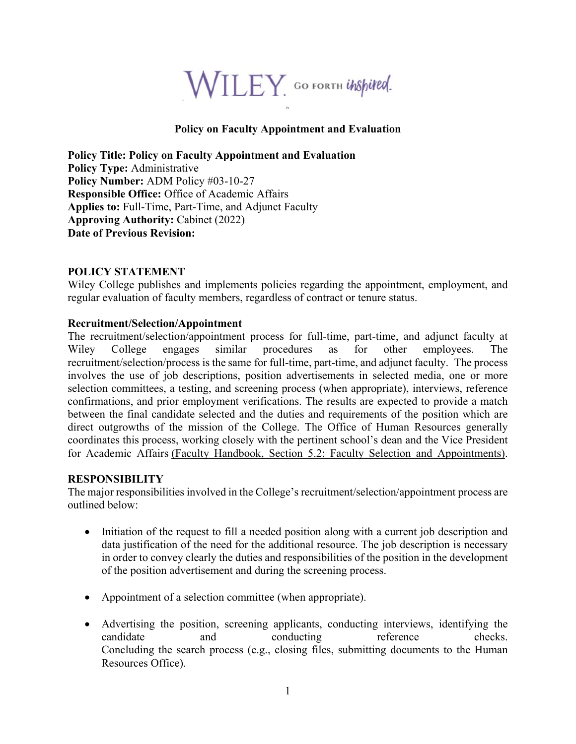

### **Policy on Faculty Appointment and Evaluation**

Po

**Policy Title: Policy on Faculty Appointment and Evaluation Policy Type:** Administrative **Policy Number:** ADM Policy #03-10-27 **Responsible Office:** Office of Academic Affairs **Applies to:** Full-Time, Part-Time, and Adjunct Faculty **Approving Authority:** Cabinet (2022) **Date of Previous Revision:** 

### **POLICY STATEMENT**

Wiley College publishes and implements policies regarding the appointment, employment, and regular evaluation of faculty members, regardless of contract or tenure status.

### **Recruitment/Selection/Appointment**

The recruitment/selection/appointment process for full-time, part-time, and adjunct faculty at Wiley College engages similar procedures as for other employees. The recruitment/selection/process is the same for full-time, part-time, and adjunct faculty. The process involves the use of job descriptions, position advertisements in selected media, one or more selection committees, a testing, and screening process (when appropriate), interviews, reference confirmations, and prior employment verifications. The results are expected to provide a match between the final candidate selected and the duties and requirements of the position which are direct outgrowths of the mission of the College. The Office of Human Resources generally coordinates this process, working closely with the pertinent school's dean and the Vice President for Academic Affairs (Faculty Handbook, Section 5.2: Faculty Selection and Appointments).

### **RESPONSIBILITY**

The major responsibilities involved in the College's recruitment/selection/appointment process are outlined below:

- Initiation of the request to fill a needed position along with a current job description and data justification of the need for the additional resource. The job description is necessary in order to convey clearly the duties and responsibilities of the position in the development of the position advertisement and during the screening process.
- Appointment of a selection committee (when appropriate).
- Advertising the position, screening applicants, conducting interviews, identifying the candidate and conducting reference checks. Concluding the search process (e.g., closing files, submitting documents to the Human Resources Office).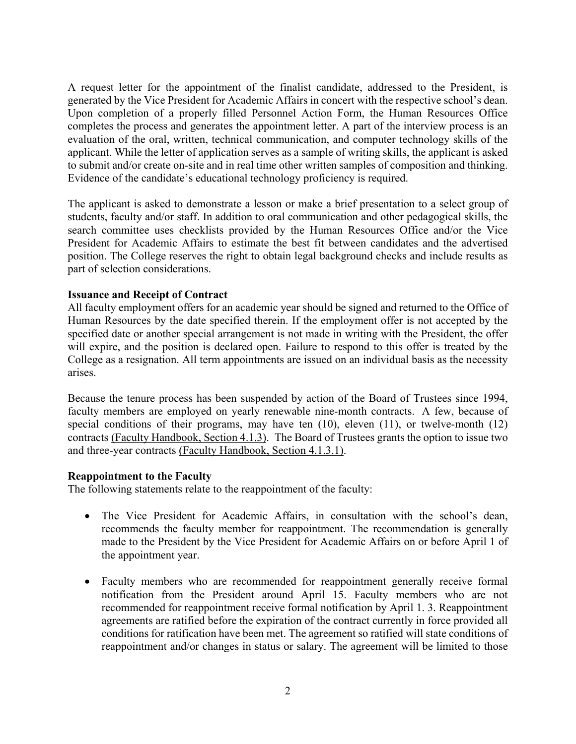A request letter for the appointment of the finalist candidate, addressed to the President, is generated by the Vice President for Academic Affairs in concert with the respective school's dean. Upon completion of a properly filled Personnel Action Form, the Human Resources Office completes the process and generates the appointment letter. A part of the interview process is an evaluation of the oral, written, technical communication, and computer technology skills of the applicant. While the letter of application serves as a sample of writing skills, the applicant is asked to submit and/or create on-site and in real time other written samples of composition and thinking. Evidence of the candidate's educational technology proficiency is required.

The applicant is asked to demonstrate a lesson or make a brief presentation to a select group of students, faculty and/or staff. In addition to oral communication and other pedagogical skills, the search committee uses checklists provided by the Human Resources Office and/or the Vice President for Academic Affairs to estimate the best fit between candidates and the advertised position. The College reserves the right to obtain legal background checks and include results as part of selection considerations.

### **Issuance and Receipt of Contract**

All faculty employment offers for an academic year should be signed and returned to the Office of Human Resources by the date specified therein. If the employment offer is not accepted by the specified date or another special arrangement is not made in writing with the President, the offer will expire, and the position is declared open. Failure to respond to this offer is treated by the College as a resignation. All term appointments are issued on an individual basis as the necessity arises.

Because the tenure process has been suspended by action of the Board of Trustees since 1994, faculty members are employed on yearly renewable nine-month contracts. A few, because of special conditions of their programs, may have ten (10), eleven (11), or twelve-month (12) contracts (Faculty Handbook, Section 4.1.3). The Board of Trustees grants the option to issue two and three-year contracts (Faculty Handbook, Section 4.1.3.1).

### **Reappointment to the Faculty**

The following statements relate to the reappointment of the faculty:

- The Vice President for Academic Affairs, in consultation with the school's dean, recommends the faculty member for reappointment. The recommendation is generally made to the President by the Vice President for Academic Affairs on or before April 1 of the appointment year.
- Faculty members who are recommended for reappointment generally receive formal notification from the President around April 15. Faculty members who are not recommended for reappointment receive formal notification by April 1. 3. Reappointment agreements are ratified before the expiration of the contract currently in force provided all conditions for ratification have been met. The agreement so ratified will state conditions of reappointment and/or changes in status or salary. The agreement will be limited to those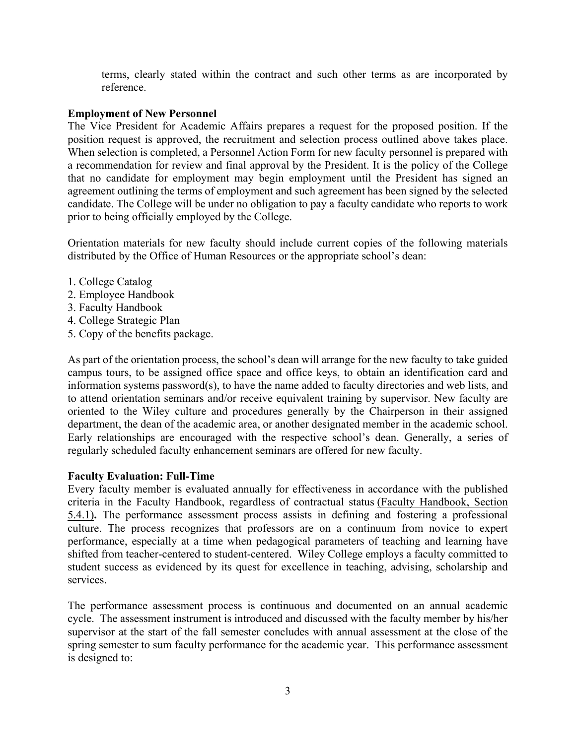terms, clearly stated within the contract and such other terms as are incorporated by reference.

### **Employment of New Personnel**

The Vice President for Academic Affairs prepares a request for the proposed position. If the position request is approved, the recruitment and selection process outlined above takes place. When selection is completed, a Personnel Action Form for new faculty personnel is prepared with a recommendation for review and final approval by the President. It is the policy of the College that no candidate for employment may begin employment until the President has signed an agreement outlining the terms of employment and such agreement has been signed by the selected candidate. The College will be under no obligation to pay a faculty candidate who reports to work prior to being officially employed by the College.

Orientation materials for new faculty should include current copies of the following materials distributed by the Office of Human Resources or the appropriate school's dean:

- 1. College Catalog
- 2. Employee Handbook
- 3. Faculty Handbook
- 4. College Strategic Plan
- 5. Copy of the benefits package.

As part of the orientation process, the school's dean will arrange for the new faculty to take guided campus tours, to be assigned office space and office keys, to obtain an identification card and information systems password(s), to have the name added to faculty directories and web lists, and to attend orientation seminars and/or receive equivalent training by supervisor. New faculty are oriented to the Wiley culture and procedures generally by the Chairperson in their assigned department, the dean of the academic area, or another designated member in the academic school. Early relationships are encouraged with the respective school's dean. Generally, a series of regularly scheduled faculty enhancement seminars are offered for new faculty.

### **Faculty Evaluation: Full-Time**

Every faculty member is evaluated annually for effectiveness in accordance with the published criteria in the Faculty Handbook, regardless of contractual status (Faculty Handbook, Section 5.4.1)**.** The performance assessment process assists in defining and fostering a professional culture. The process recognizes that professors are on a continuum from novice to expert performance, especially at a time when pedagogical parameters of teaching and learning have shifted from teacher-centered to student-centered. Wiley College employs a faculty committed to student success as evidenced by its quest for excellence in teaching, advising, scholarship and services.

The performance assessment process is continuous and documented on an annual academic cycle. The assessment instrument is introduced and discussed with the faculty member by his/her supervisor at the start of the fall semester concludes with annual assessment at the close of the spring semester to sum faculty performance for the academic year. This performance assessment is designed to: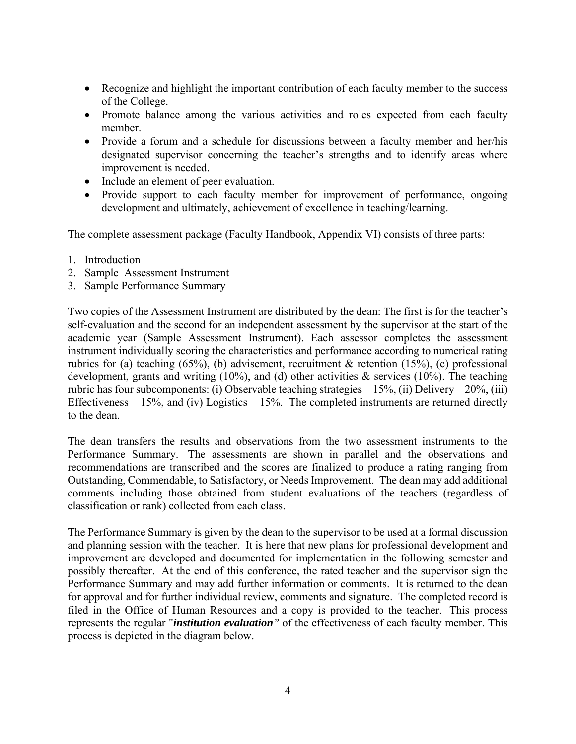- Recognize and highlight the important contribution of each faculty member to the success of the College.
- Promote balance among the various activities and roles expected from each faculty member.
- Provide a forum and a schedule for discussions between a faculty member and her/his designated supervisor concerning the teacher's strengths and to identify areas where improvement is needed.
- Include an element of peer evaluation.
- Provide support to each faculty member for improvement of performance, ongoing development and ultimately, achievement of excellence in teaching/learning.

The complete assessment package (Faculty Handbook, Appendix VI) consists of three parts:

- 1. Introduction
- 2. Sample Assessment Instrument
- 3. Sample Performance Summary

Two copies of the Assessment Instrument are distributed by the dean: The first is for the teacher's self-evaluation and the second for an independent assessment by the supervisor at the start of the academic year (Sample Assessment Instrument). Each assessor completes the assessment instrument individually scoring the characteristics and performance according to numerical rating rubrics for (a) teaching (65%), (b) advisement, recruitment & retention (15%), (c) professional development, grants and writing (10%), and (d) other activities  $\&$  services (10%). The teaching rubric has four subcomponents: (i) Observable teaching strategies  $-15\%$ , (ii) Delivery  $-20\%$ , (iii) Effectiveness  $-15%$ , and (iv) Logistics  $-15%$ . The completed instruments are returned directly to the dean.

The dean transfers the results and observations from the two assessment instruments to the Performance Summary. The assessments are shown in parallel and the observations and recommendations are transcribed and the scores are finalized to produce a rating ranging from Outstanding, Commendable, to Satisfactory, or Needs Improvement. The dean may add additional comments including those obtained from student evaluations of the teachers (regardless of classification or rank) collected from each class.

The Performance Summary is given by the dean to the supervisor to be used at a formal discussion and planning session with the teacher. It is here that new plans for professional development and improvement are developed and documented for implementation in the following semester and possibly thereafter. At the end of this conference, the rated teacher and the supervisor sign the Performance Summary and may add further information or comments. It is returned to the dean for approval and for further individual review, comments and signature. The completed record is filed in the Office of Human Resources and a copy is provided to the teacher. This process represents the regular "*institution evaluation"* of the effectiveness of each faculty member. This process is depicted in the diagram below.